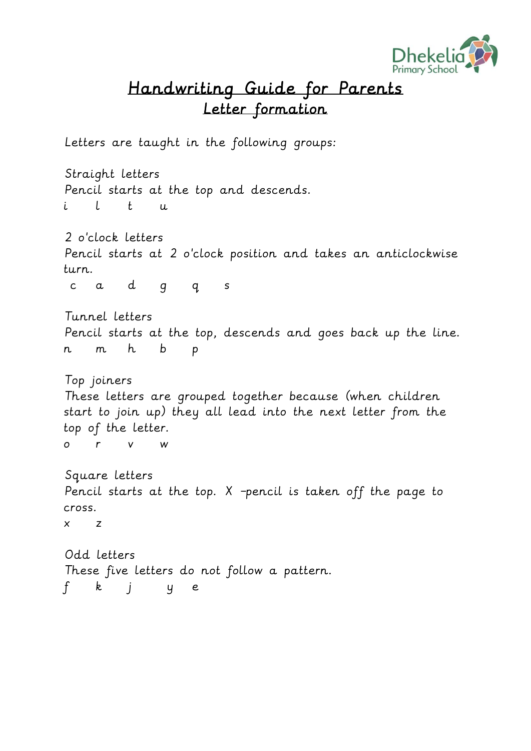

## Handwriting Guide for Parents Letter formation

Letters are taught in the following groups:

Straight letters Pencil starts at the top and descends. i l t u

2 o'clock letters Pencil starts at 2 o'clock position and takes an anticlockwise turn.

c a d g q s

Tunnel letters Pencil starts at the top, descends and goes back up the line. n m h b p

Top joiners These letters are grouped together because (when children start to join up) they all lead into the next letter from the top of the letter. o r v w

Square letters Pencil starts at the top. X –pencil is taken off the page to cross.

x z

Odd letters These five letters do not follow a pattern. f k j y e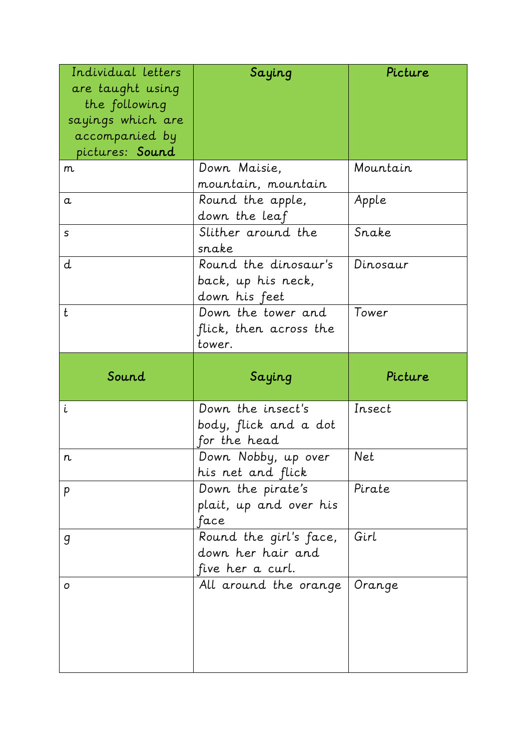| Individual letters<br>are taught using<br>the following<br>sayings which are<br>accompanied by | Saying                                                          | Picture  |
|------------------------------------------------------------------------------------------------|-----------------------------------------------------------------|----------|
| pictures: Sound                                                                                |                                                                 |          |
| m                                                                                              | Down Maisie,<br>mountain, mountain                              | Mountain |
| $\alpha$                                                                                       | Round the apple,<br>down the leaf                               | Apple    |
| S                                                                                              | Slither around the<br>snake                                     | Snake    |
| d                                                                                              | Round the dinosaur's<br>back, up his neck,<br>down his feet     | Dinosaur |
| t                                                                                              | Down the tower and<br>flick, then across the<br>tower.          | Tower    |
|                                                                                                |                                                                 |          |
| Sound                                                                                          | Saying                                                          | Picture  |
| i                                                                                              | Down the insect's<br>body, flick and a dot<br>for the head      | Insect   |
| n                                                                                              | Down Nobby, up over<br>his net and flick                        | Net      |
| p                                                                                              | Down the pirate's<br>plait, up and over his<br>face             | Pirate   |
| g                                                                                              | Round the girl's face,<br>down her hair and<br>five her a curl. | Girl     |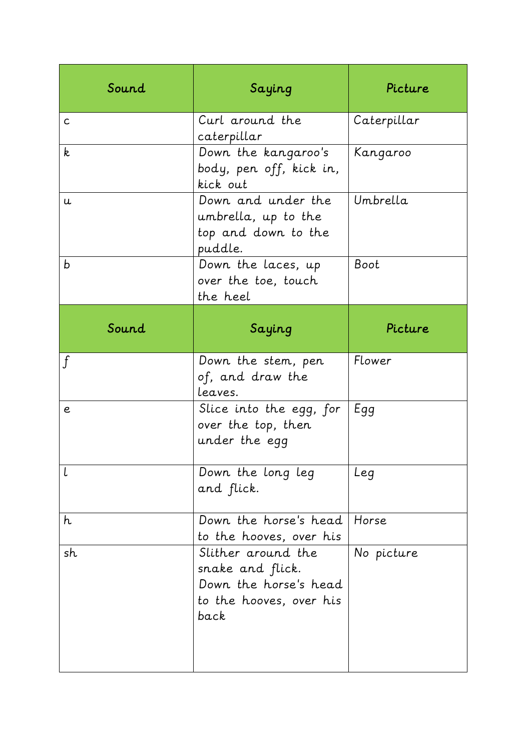| Sound        | Saying                                                                                             | Picture     |
|--------------|----------------------------------------------------------------------------------------------------|-------------|
| $\mathsf{C}$ | Curl around the<br>caterpillar                                                                     | Caterpillar |
| k            | Down the kangaroo's<br>body, pen off, kick in,<br>kick out                                         | Kangaroo    |
| u.           | Down and under the<br>umbrella, up to the<br>top and down to the<br>puddle.                        | Umbrella    |
| b            | Down the laces, up<br>over the toe, touch<br>the heel                                              | Boot        |
| Sound        | Saying                                                                                             | Picture     |
| $\mathbf{f}$ | Down the stem, pen<br>of, and draw the<br>leaves.                                                  | Flower      |
| e            | Slice into the egg, for<br>over the top, then<br>under the egg                                     | Egg         |
| l            | Down the long leg<br>and flick.                                                                    | Leq         |
| h            | Down the horse's head<br>to the hooves, over his                                                   | Horse       |
| sh           | Slither around the<br>snake and flick.<br>Down the horse's head<br>to the hooves, over his<br>back | No picture  |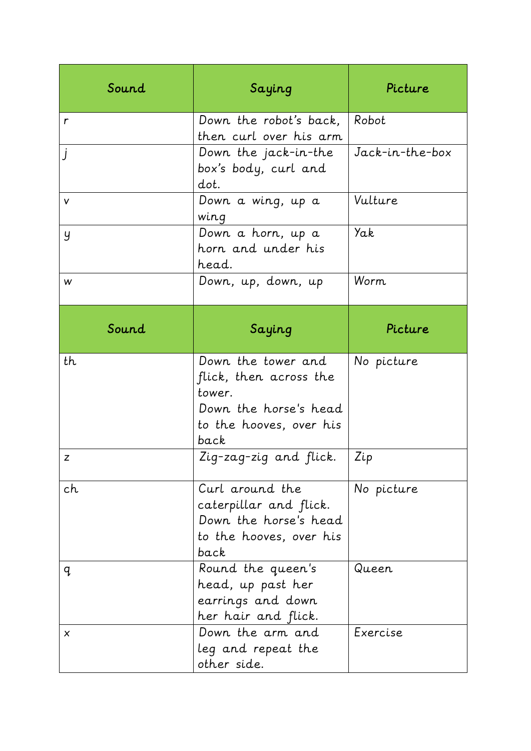| Sound            | Saying                                                                                                             | Picture         |
|------------------|--------------------------------------------------------------------------------------------------------------------|-----------------|
| $\mathsf{r}$     | Down the robot's back,<br>then curl over his arm                                                                   | Robot           |
| $\mathbf{j}$     | Down the jack-in-the<br>box's body, curl and<br>dot.                                                               | Jack-in-the-box |
| v                | Down a wing, up a<br>wing                                                                                          | Vulture         |
| y                | Down a horn, up a<br>horn and under his<br>head.                                                                   | Yak             |
| w                | Down, up, down, up                                                                                                 | Worm.           |
| Sound            | Saying                                                                                                             | Picture         |
| th               | Down the tower and<br>flick, then across the<br>tower.<br>Down the horse's head<br>to the hooves, over his<br>back | No picture      |
| $\boldsymbol{Z}$ | Zig-zag-zig and flick.                                                                                             | Zip             |
| ch               | Curl around the<br>caterpillar and flick.<br>Down the horse's head<br>to the hooves, over his<br>back              | No picture      |
| q                | Round the queen's<br>head, up past her<br>earrings and down<br>her hair and flick.                                 | Queen           |
| X                |                                                                                                                    |                 |